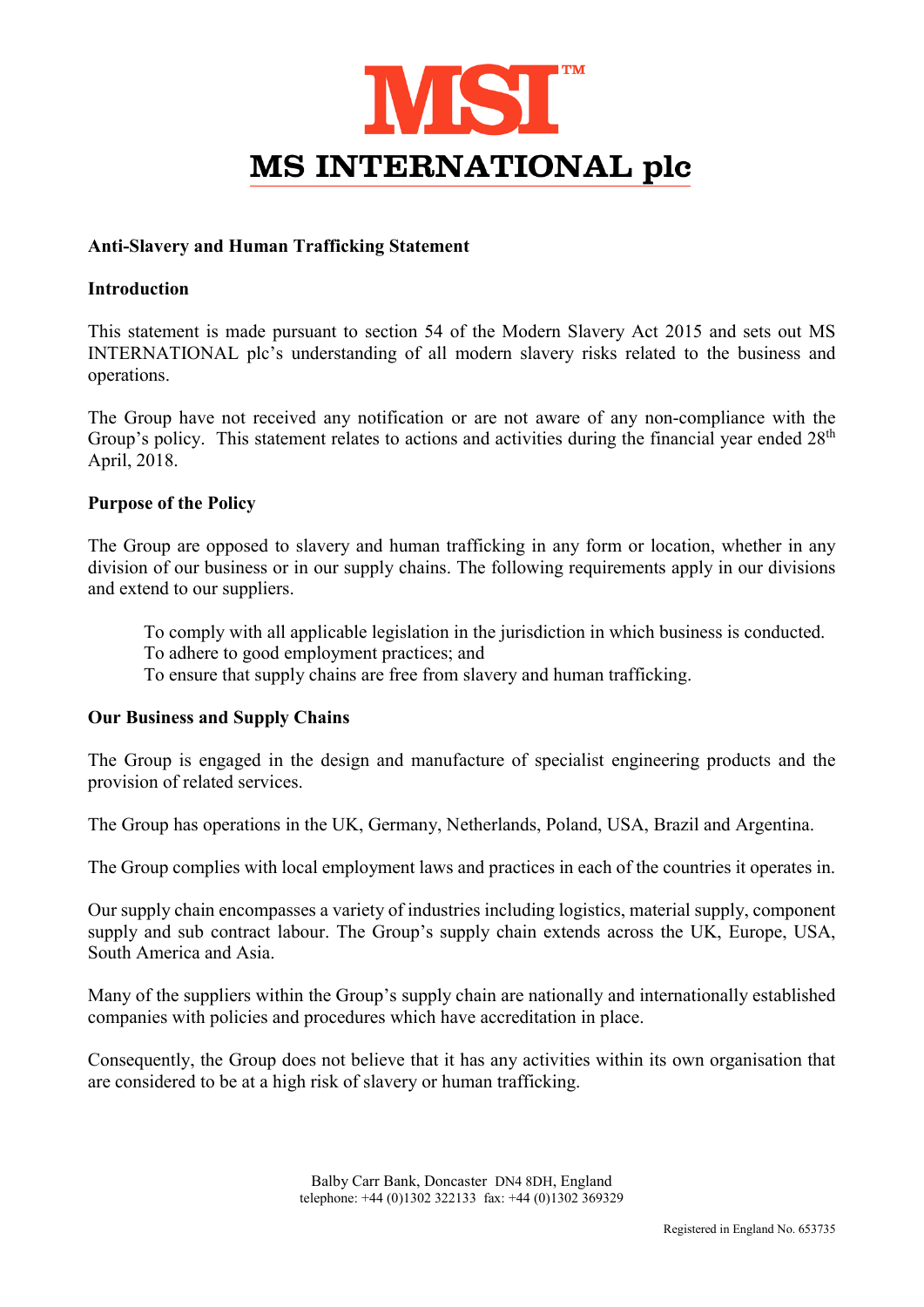

## Anti-Slavery and Human Trafficking Statement

## Introduction

This statement is made pursuant to section 54 of the Modern Slavery Act 2015 and sets out MS INTERNATIONAL plc's understanding of all modern slavery risks related to the business and operations.

The Group have not received any notification or are not aware of any non-compliance with the Group's policy. This statement relates to actions and activities during the financial year ended 28<sup>th</sup> April, 2018.

#### Purpose of the Policy

The Group are opposed to slavery and human trafficking in any form or location, whether in any division of our business or in our supply chains. The following requirements apply in our divisions and extend to our suppliers.

To comply with all applicable legislation in the jurisdiction in which business is conducted.

To adhere to good employment practices; and

To ensure that supply chains are free from slavery and human trafficking.

# Our Business and Supply Chains

The Group is engaged in the design and manufacture of specialist engineering products and the provision of related services.

The Group has operations in the UK, Germany, Netherlands, Poland, USA, Brazil and Argentina.

The Group complies with local employment laws and practices in each of the countries it operates in.

Our supply chain encompasses a variety of industries including logistics, material supply, component supply and sub contract labour. The Group's supply chain extends across the UK, Europe, USA, South America and Asia.

Many of the suppliers within the Group's supply chain are nationally and internationally established companies with policies and procedures which have accreditation in place.

Consequently, the Group does not believe that it has any activities within its own organisation that are considered to be at a high risk of slavery or human trafficking.